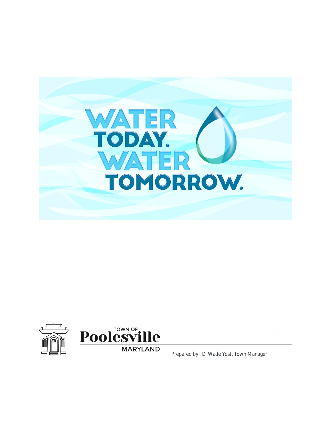





**MARYLAND** 

Prepared by: D. Wade Yost, Town Manager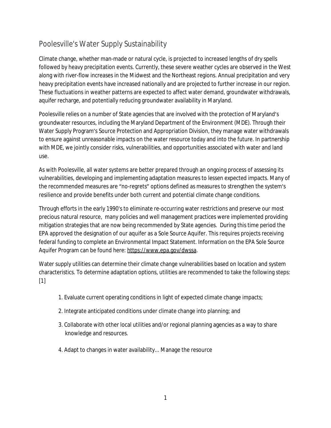# Poolesville's Water Supply Sustainability

Climate change, whether man-made or natural cycle, is projected to increased lengths of dry spells followed by heavy precipitation events. Currently, these severe weather cycles are observed in the West along with river-flow increases in the Midwest and the Northeast regions. Annual precipitation and very heavy precipitation events have increased nationally and are projected to further increase in our region. These fluctuations in weather patterns are expected to affect water demand, groundwater withdrawals, aquifer recharge, and potentially reducing groundwater availability in Maryland.

Poolesville relies on a number of State agencies that are involved with the protection of Maryland's groundwater resources, including the Maryland Department of the Environment (MDE). Through their Water Supply Program's Source Protection and Appropriation Division, they manage water withdrawals to ensure against unreasonable impacts on the water resource today and into the future. In partnership with MDE, we jointly consider risks, vulnerabilities, and opportunities associated with water and land use.

As with Poolesville, all water systems are better prepared through an ongoing process of assessing its vulnerabilities, developing and implementing adaptation measures to lessen expected impacts. Many of the recommended measures are "no-regrets" options defined as measures to strengthen the system's resilience and provide benefits under both current and potential climate change conditions.

Through efforts in the early 1990's to eliminate re-occurring water restrictions and preserve our most precious natural resource, many policies and well management practices were implemented providing mitigation strategies that are now being recommended by State agencies. During this time period the EPA approved the designation of our aquifer as a Sole Source Aquifer. This requires projects receiving federal funding to complete an Environmental Impact Statement. Information on the EPA Sole Source Aquifer Program can be found here:<https://www.epa.gov/dwssa>.

Water supply utilities can determine their climate change vulnerabilities based on location and system characteristics. To determine adaptation options, utilities are recommended to take the following steps: [1]

- 1. Evaluate current operating conditions in light of expected climate change impacts;
- 2. Integrate anticipated conditions under climate change into planning; and
- 3. Collaborate with other local utilities and/or regional planning agencies as a way to share knowledge and resources.
- 4. Adapt to changes in water availability... Manage the resource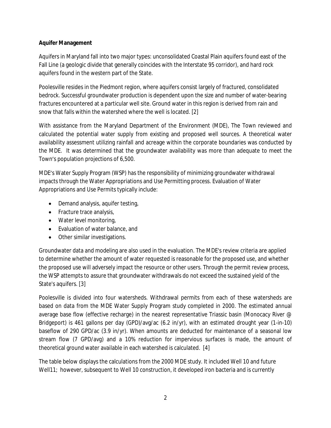### **Aquifer Management**

Aquifers in Maryland fall into two major types: unconsolidated Coastal Plain aquifers found east of the Fall Line (a geologic divide that generally coincides with the Interstate 95 corridor), and hard rock aquifers found in the western part of the State.

Poolesville resides in the Piedmont region, where aquifers consist largely of fractured, consolidated bedrock. Successful groundwater production is dependent upon the size and number of water-bearing fractures encountered at a particular well site. Ground water in this region is derived from rain and snow that falls within the watershed where the well is located. [2]

With assistance from the Maryland Department of the Environment (MDE), The Town reviewed and calculated the potential water supply from existing and proposed well sources. A theoretical water availability assessment utilizing rainfall and acreage within the corporate boundaries was conducted by the MDE. It was determined that the groundwater availability was more than adequate to meet the Town's population projections of 6,500.

MDE's Water Supply Program (WSP) has the responsibility of minimizing groundwater withdrawal impacts through the Water Appropriations and Use Permitting process. Evaluation of Water Appropriations and Use Permits typically include:

- Demand analysis, aquifer testing,
- Fracture trace analysis,
- Water level monitoring,
- Evaluation of water balance, and
- Other similar investigations.

Groundwater data and modeling are also used in the evaluation. The MDE's review criteria are applied to determine whether the amount of water requested is reasonable for the proposed use, and whether the proposed use will adversely impact the resource or other users. Through the permit review process, the WSP attempts to assure that groundwater withdrawals do not exceed the sustained yield of the State's aquifers. [3]

Poolesville is divided into four watersheds. Withdrawal permits from each of these watersheds are based on data from the MDE Water Supply Program study completed in 2000. The estimated annual average base flow (effective recharge) in the nearest representative Triassic basin (Monocacy River @ Bridgeport) is 461 gallons per day (GPD)/avg/ac (6.2 in/yr), with an estimated drought year (1-in-10) baseflow of 290 GPD/ac (3.9 in/yr). When amounts are deducted for maintenance of a seasonal low stream flow (7 GPD/avg) and a 10% reduction for impervious surfaces is made, the amount of theoretical ground water available in each watershed is calculated. [4]

The table below displays the calculations from the 2000 MDE study. It included Well 10 and future Well11; however, subsequent to Well 10 construction, it developed iron bacteria and is currently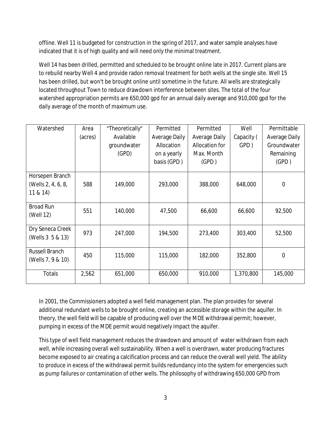offline. Well 11 is budgeted for construction in the spring of 2017, and water sample analyses have indicated that it is of high quality and will need only the minimal treatment.

Well 14 has been drilled, permitted and scheduled to be brought online late in 2017. Current plans are to rebuild nearby Well 4 and provide radon removal treatment for both wells at the single site. Well 15 has been drilled, but won't be brought online until sometime in the future. All wells are strategically located throughout Town to reduce drawdown interference between sites. The total of the four watershed appropriation permits are 650,000 gpd for an annual daily average and 910,000 gpd for the daily average of the month of maximum use.

| Watershed             | Area    | "Theoretically" | Permitted     | Permitted      | Well       | Permittable    |
|-----------------------|---------|-----------------|---------------|----------------|------------|----------------|
|                       | (acres) | Available       | Average Daily | Average Daily  | Capacity ( | Average Daily  |
|                       |         | groundwater     | Allocation    | Allocation for | GPD)       | Groundwater    |
|                       |         | (GPD)           | on a yearly   | Max. Month     |            | Remaining      |
|                       |         |                 | basis (GPD)   | (GPD)          |            | (GPD)          |
| Horsepen Branch       |         |                 |               |                |            |                |
| (Wells 2, 4, 6, 8,    | 588     | 149,000         | 293,000       | 388,000        | 648,000    | $\overline{0}$ |
| 11 & 814              |         |                 |               |                |            |                |
| <b>Broad Run</b>      | 551     | 140,000         | 47,500        | 66,600         | 66,600     | 92,500         |
| (Well 12)             |         |                 |               |                |            |                |
| Dry Seneca Creek      | 973     | 247,000         | 194,500       | 273,400        | 303,400    | 52,500         |
| (Wells 3 5 & 13)      |         |                 |               |                |            |                |
| <b>Russell Branch</b> | 450     | 115,000         | 115,000       | 182,000        | 352,800    | $\Omega$       |
| (Wells 7, 9 & 10)     |         |                 |               |                |            |                |
| Totals                | 2,562   | 651,000         | 650,000       | 910,000        | 1,370,800  | 145,000        |

In 2001, the Commissioners adopted a well field management plan. The plan provides for several additional redundant wells to be brought online, creating an accessible storage within the aquifer. In theory, the well field will be capable of producing well over the MDE withdrawal permit; however, pumping in excess of the MDE permit would negatively impact the aquifer.

This type of well field management reduces the drawdown and amount of water withdrawn from each well, while increasing overall well sustainability. When a well is overdrawn, water producing fractures become exposed to air creating a calcification process and can reduce the overall well yield. The ability to produce in excess of the withdrawal permit builds redundancy into the system for emergencies such as pump failures or contamination of other wells. The philosophy of withdrawing 650,000 GPD from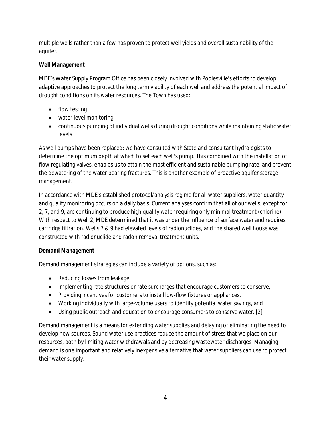multiple wells rather than a few has proven to protect well yields and overall sustainability of the aquifer.

## **Well Management**

MDE's Water Supply Program Office has been closely involved with Poolesville's efforts to develop adaptive approaches to protect the long term viability of each well and address the potential impact of drought conditions on its water resources. The Town has used:

- flow testing
- water level monitoring
- continuous pumping of individual wells during drought conditions while maintaining static water levels

As well pumps have been replaced; we have consulted with State and consultant hydrologists to determine the optimum depth at which to set each well's pump. This combined with the installation of flow regulating valves, enables us to attain the most efficient and sustainable pumping rate, and prevent the dewatering of the water bearing fractures. This is another example of proactive aquifer storage management.

In accordance with MDE's established protocol/analysis regime for all water suppliers, water quantity and quality monitoring occurs on a daily basis. Current analyses confirm that all of our wells, except for 2, 7, and 9, are continuing to produce high quality water requiring only minimal treatment (chlorine). With respect to Well 2, MDE determined that it was under the influence of surface water and requires cartridge filtration. Wells 7 & 9 had elevated levels of radionuclides, and the shared well house was constructed with radionuclide and radon removal treatment units.

#### **Demand Management**

Demand management strategies can include a variety of options, such as:

- Reducing losses from leakage,
- Implementing rate structures or rate surcharges that encourage customers to conserve,
- Providing incentives for customers to install low-flow fixtures or appliances,
- Working individually with large-volume users to identify potential water savings, and
- Using public outreach and education to encourage consumers to conserve water. [2]

Demand management is a means for extending water supplies and delaying or eliminating the need to develop new sources. Sound water use practices reduce the amount of stress that we place on our resources, both by limiting water withdrawals and by decreasing wastewater discharges. Managing demand is one important and relatively inexpensive alternative that water suppliers can use to protect their water supply.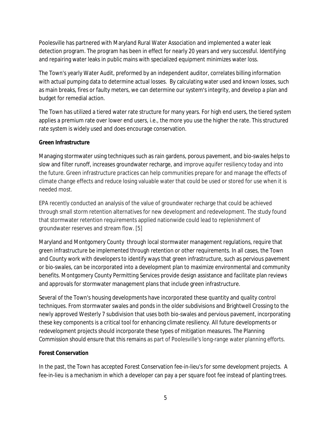Poolesville has partnered with Maryland Rural Water Association and implemented a water leak detection program. The program has been in effect for nearly 20 years and very successful. Identifying and repairing water leaks in public mains with specialized equipment minimizes water loss.

The Town's yearly Water Audit, preformed by an independent auditor, correlates billing information with actual pumping data to determine actual losses. By calculating water used and known losses, such as main breaks, fires or faulty meters, we can determine our system's integrity, and develop a plan and budget for remedial action.

The Town has utilized a tiered water rate structure for many years. For high end users, the tiered system applies a premium rate over lower end users, i.e., the more you use the higher the rate. This structured rate system is widely used and does encourage conservation.

#### **Green Infrastructure**

Managing stormwater using techniques such as rain gardens, porous pavement, and bio-swales helps to slow and filter runoff, increases groundwater recharge, and improve aquifer resiliency today and into the future. Green infrastructure practices can help communities prepare for and manage the effects of climate change effects and reduce losing valuable water that could be used or stored for use when it is needed most.

EPA recently conducted an analysis of the value of groundwater recharge that could be achieved through small storm retention alternatives for new development and redevelopment. The study found that stormwater retention requirements applied nationwide could lead to replenishment of groundwater reserves and stream flow. [5]

Maryland and Montgomery County through local stormwater management regulations, require that green infrastructure be implemented through retention or other requirements. In all cases, the Town and County work with developers to identify ways that green infrastructure, such as pervious pavement or bio-swales, can be incorporated into a development plan to maximize environmental and community benefits. Montgomery County Permitting Services provide design assistance and facilitate plan reviews and approvals for stormwater management plans that include green infrastructure.

Several of the Town's housing developments have incorporated these quantity and quality control techniques. From stormwater swales and ponds in the older subdivisions and Brightwell Crossing to the newly approved Westerly 7 subdivision that uses both bio-swales and pervious pavement, incorporating these key components is a critical tool for enhancing climate resiliency. All future developments or redevelopment projects should incorporate these types of mitigation measures. The Planning Commission should ensure that this remains as part of Poolesville's long-range water planning efforts.

#### **Forest Conservation**

In the past, the Town has accepted Forest Conservation fee-in-lieu's for some development projects. A fee-in-lieu is a mechanism in which a developer can pay a per square foot fee instead of planting trees.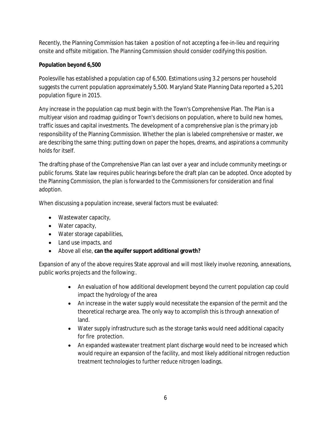Recently, the Planning Commission has taken a position of not accepting a fee-in-lieu and requiring onsite and offsite mitigation. The Planning Commission should consider codifying this position.

## **Population beyond 6,500**

Poolesville has established a population cap of 6,500. Estimations using 3.2 persons per household suggests the current population approximately 5,500. Maryland State Planning Data reported a 5,201 population figure in 2015.

Any increase in the population cap must begin with the Town's Comprehensive Plan. The Plan is a multiyear vision and roadmap guiding or Town's decisions on population, where to build new homes, traffic issues and capital investments. The development of a comprehensive plan is the primary job responsibility of the Planning Commission. Whether the plan is labeled comprehensive or master, we are describing the same thing: putting down on paper the hopes, dreams, and aspirations a community holds for itself.

The drafting phase of the Comprehensive Plan can last over a year and include community meetings or public forums. State law requires public hearings before the draft plan can be adopted. Once adopted by the Planning Commission, the plan is forwarded to the Commissioners for consideration and final adoption.

When discussing a population increase, several factors must be evaluated:

- Wastewater capacity,
- Water capacity,
- Water storage capabilities,
- Land use impacts, and
- Above all else, **can the aquifer support additional growth?**

Expansion of any of the above requires State approval and will most likely involve rezoning, annexations, public works projects and the following:.

- An evaluation of how additional development beyond the current population cap could impact the hydrology of the area
- An increase in the water supply would necessitate the expansion of the permit and the theoretical recharge area. The only way to accomplish this is through annexation of land.
- Water supply infrastructure such as the storage tanks would need additional capacity for fire protection.
- An expanded wastewater treatment plant discharge would need to be increased which would require an expansion of the facility, and most likely additional nitrogen reduction treatment technologies to further reduce nitrogen loadings.